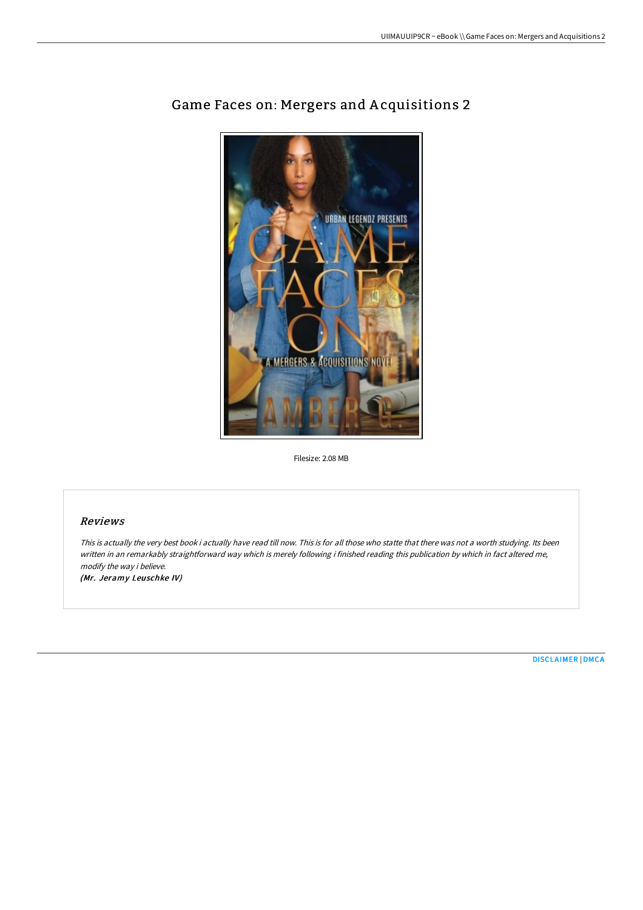

# Game Faces on: Mergers and A cquisitions 2

Filesize: 2.08 MB

## Reviews

This is actually the very best book i actually have read till now. This is for all those who statte that there was not <sup>a</sup> worth studying. Its been written in an remarkably straightforward way which is merely following i finished reading this publication by which in fact altered me, modify the way i believe.

(Mr. Jeramy Leuschke IV)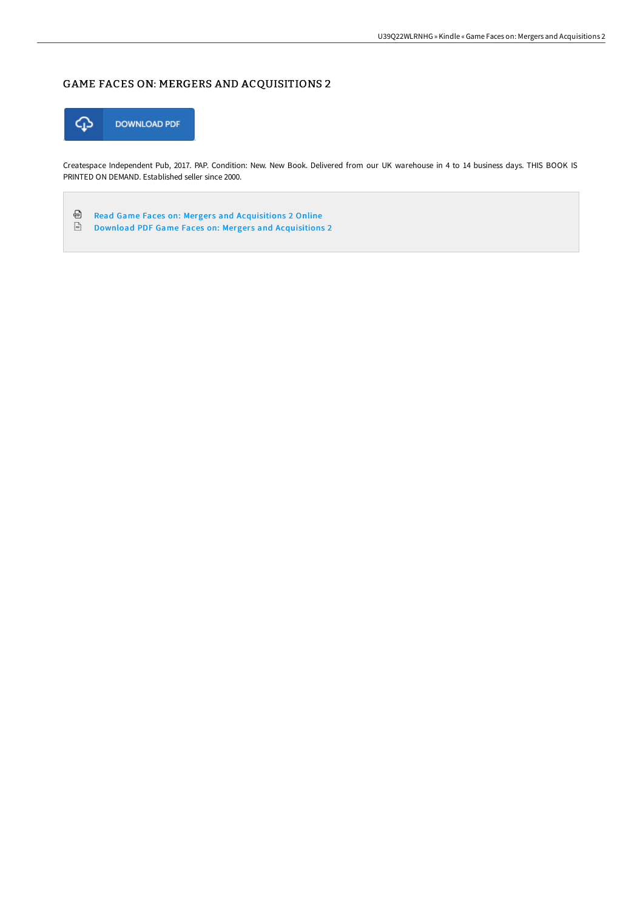# GAME FACES ON: MERGERS AND ACQUISITIONS 2



Createspace Independent Pub, 2017. PAP. Condition: New. New Book. Delivered from our UK warehouse in 4 to 14 business days. THIS BOOK IS PRINTED ON DEMAND. Established seller since 2000.

⊕ Read Game Faces on: Mergers and [Acquisitions](http://albedo.media/game-faces-on-mergers-and-acquisitions-2.html) 2 Online  $\frac{1}{166}$ Download PDF Game Faces on: Mergers and [Acquisitions](http://albedo.media/game-faces-on-mergers-and-acquisitions-2.html) 2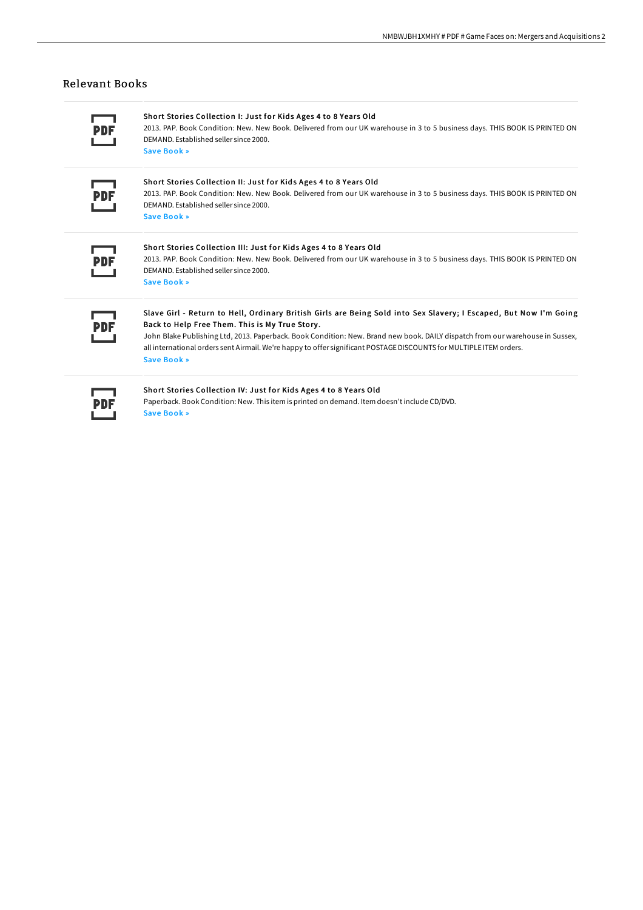## Relevant Books

Short Stories Collection I: Just for Kids Ages 4 to 8 Years Old

2013. PAP. Book Condition: New. New Book. Delivered from our UK warehouse in 3 to 5 business days. THIS BOOK IS PRINTED ON DEMAND. Established seller since 2000. Save [Book](http://albedo.media/short-stories-collection-i-just-for-kids-ages-4-.html) »

#### Short Stories Collection II: Just for Kids Ages 4 to 8 Years Old

2013. PAP. Book Condition: New. New Book. Delivered from our UK warehouse in 3 to 5 business days. THIS BOOK IS PRINTED ON DEMAND. Established seller since 2000. Save [Book](http://albedo.media/short-stories-collection-ii-just-for-kids-ages-4.html) »

#### Short Stories Collection III: Just for Kids Ages 4 to 8 Years Old 2013. PAP. Book Condition: New. New Book. Delivered from our UK warehouse in 3 to 5 business days. THIS BOOK IS PRINTED ON DEMAND. Established seller since 2000.

Save [Book](http://albedo.media/short-stories-collection-iii-just-for-kids-ages-.html) »

# Slave Girl - Return to Hell, Ordinary British Girls are Being Sold into Sex Slavery; I Escaped, But Now I'm Going Back to Help Free Them. This is My True Story .

John Blake Publishing Ltd, 2013. Paperback. Book Condition: New. Brand new book. DAILY dispatch from our warehouse in Sussex, all international orders sent Airmail. We're happy to offer significant POSTAGE DISCOUNTS for MULTIPLE ITEM orders. Save [Book](http://albedo.media/slave-girl-return-to-hell-ordinary-british-girls.html) »

#### Short Stories Collection IV: Just for Kids Ages 4 to 8 Years Old

Paperback. Book Condition: New. This item is printed on demand. Item doesn't include CD/DVD. Save [Book](http://albedo.media/short-stories-collection-iv-just-for-kids-ages-4.html) »